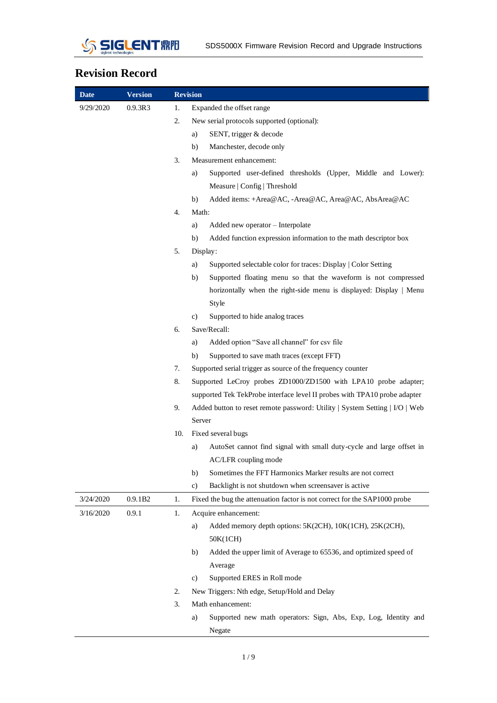

## **Revision Record**

| <b>Date</b> | <b>Version</b> |     | <b>Revision</b>                                                             |
|-------------|----------------|-----|-----------------------------------------------------------------------------|
| 9/29/2020   | 0.9.3R3        | 1.  | Expanded the offset range                                                   |
|             |                | 2.  | New serial protocols supported (optional):                                  |
|             |                |     | SENT, trigger & decode<br>a)                                                |
|             |                |     | Manchester, decode only<br>b)                                               |
|             |                | 3.  | Measurement enhancement:                                                    |
|             |                |     | Supported user-defined thresholds (Upper, Middle and Lower):<br>a)          |
|             |                |     | Measure   Config   Threshold                                                |
|             |                |     | Added items: +Area@AC, -Area@AC, Area@AC, AbsArea@AC<br>b)                  |
|             |                | 4.  | Math:                                                                       |
|             |                |     | Added new operator - Interpolate<br>a)                                      |
|             |                |     | Added function expression information to the math descriptor box<br>b)      |
|             |                | 5.  | Display:                                                                    |
|             |                |     | Supported selectable color for traces: Display   Color Setting<br>a)        |
|             |                |     | Supported floating menu so that the waveform is not compressed<br>b)        |
|             |                |     | horizontally when the right-side menu is displayed: Display   Menu          |
|             |                |     | Style                                                                       |
|             |                |     | Supported to hide analog traces<br>c)                                       |
|             |                | 6.  | Save/Recall:                                                                |
|             |                |     | Added option "Save all channel" for csv file<br>a)                          |
|             |                |     | Supported to save math traces (except FFT)<br>b)                            |
|             |                | 7.  | Supported serial trigger as source of the frequency counter                 |
|             |                | 8.  | Supported LeCroy probes ZD1000/ZD1500 with LPA10 probe adapter;             |
|             |                |     | supported Tek TekProbe interface level II probes with TPA10 probe adapter   |
|             |                | 9.  | Added button to reset remote password: Utility   System Setting   I/O   Web |
|             |                |     | Server                                                                      |
|             |                | 10. | Fixed several bugs                                                          |
|             |                |     | AutoSet cannot find signal with small duty-cycle and large offset in<br>a)  |
|             |                |     | AC/LFR coupling mode                                                        |
|             |                |     | Sometimes the FFT Harmonics Marker results are not correct<br>b)            |
|             |                |     | Backlight is not shutdown when screensaver is active<br>c)                  |
| 3/24/2020   | 0.9.1B2        | 1.  | Fixed the bug the attenuation factor is not correct for the SAP1000 probe   |
| 3/16/2020   | 0.9.1          | 1.  | Acquire enhancement:                                                        |
|             |                |     | Added memory depth options: 5K(2CH), 10K(1CH), 25K(2CH),<br>a)              |
|             |                |     | 50K(1CH)                                                                    |
|             |                |     | Added the upper limit of Average to 65536, and optimized speed of<br>b)     |
|             |                |     | Average                                                                     |
|             |                |     | Supported ERES in Roll mode<br>c)                                           |
|             |                | 2.  | New Triggers: Nth edge, Setup/Hold and Delay                                |
|             |                | 3.  | Math enhancement:                                                           |
|             |                |     | Supported new math operators: Sign, Abs, Exp, Log, Identity and<br>a)       |
|             |                |     | Negate                                                                      |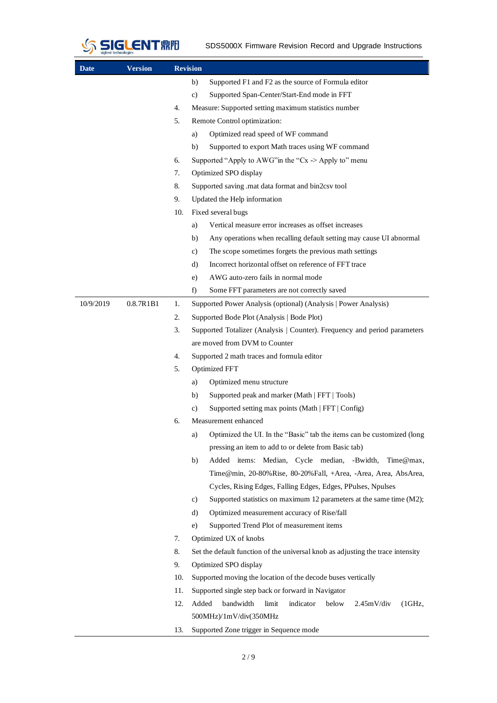

| <b>Date</b> | <b>Version</b> |     | <b>Revision</b>                                                                                        |  |  |  |  |  |
|-------------|----------------|-----|--------------------------------------------------------------------------------------------------------|--|--|--|--|--|
|             |                |     | Supported F1 and F2 as the source of Formula editor<br>b)                                              |  |  |  |  |  |
|             |                |     | $\mathbf{c})$<br>Supported Span-Center/Start-End mode in FFT                                           |  |  |  |  |  |
|             |                | 4.  | Measure: Supported setting maximum statistics number                                                   |  |  |  |  |  |
|             |                | 5.  | Remote Control optimization:                                                                           |  |  |  |  |  |
|             |                |     | Optimized read speed of WF command<br>a)                                                               |  |  |  |  |  |
|             |                |     | Supported to export Math traces using WF command<br>b)                                                 |  |  |  |  |  |
|             |                | 6.  | Supported "Apply to AWG" in the "Cx $\rightarrow$ Apply to" menu                                       |  |  |  |  |  |
|             |                | 7.  | Optimized SPO display                                                                                  |  |  |  |  |  |
|             |                | 8.  | Supported saving .mat data format and bin2csv tool                                                     |  |  |  |  |  |
|             |                | 9.  | Updated the Help information                                                                           |  |  |  |  |  |
|             |                | 10. | Fixed several bugs                                                                                     |  |  |  |  |  |
|             |                |     | Vertical measure error increases as offset increases<br>a)                                             |  |  |  |  |  |
|             |                |     | Any operations when recalling default setting may cause UI abnormal<br>b)                              |  |  |  |  |  |
|             |                |     | The scope sometimes forgets the previous math settings<br>c)                                           |  |  |  |  |  |
|             |                |     | Incorrect horizontal offset on reference of FFT trace<br>d)                                            |  |  |  |  |  |
|             |                |     | AWG auto-zero fails in normal mode<br>e)                                                               |  |  |  |  |  |
|             |                |     | f)<br>Some FFT parameters are not correctly saved                                                      |  |  |  |  |  |
| 10/9/2019   | 0.8.7R1B1      | 1.  | Supported Power Analysis (optional) (Analysis   Power Analysis)                                        |  |  |  |  |  |
|             |                | 2.  | Supported Bode Plot (Analysis   Bode Plot)                                                             |  |  |  |  |  |
|             |                | 3.  | Supported Totalizer (Analysis   Counter). Frequency and period parameters                              |  |  |  |  |  |
|             |                |     | are moved from DVM to Counter                                                                          |  |  |  |  |  |
|             |                | 4.  | Supported 2 math traces and formula editor                                                             |  |  |  |  |  |
|             |                | 5.  | Optimized FFT                                                                                          |  |  |  |  |  |
|             |                |     | Optimized menu structure<br>a)                                                                         |  |  |  |  |  |
|             |                |     | Supported peak and marker (Math   FFT   Tools)<br>b)                                                   |  |  |  |  |  |
|             |                |     | Supported setting max points (Math   FFT   Config)<br>c)                                               |  |  |  |  |  |
|             |                | 6.  | Measurement enhanced                                                                                   |  |  |  |  |  |
|             |                |     | Optimized the UI. In the "Basic" tab the items can be customized (long<br>a)                           |  |  |  |  |  |
|             |                |     | pressing an item to add to or delete from Basic tab)                                                   |  |  |  |  |  |
|             |                |     | Added items: Median, Cycle median, -Bwidth,<br>b)<br>Time@max,                                         |  |  |  |  |  |
|             |                |     | Time@min, 20-80%Rise, 80-20%Fall, +Area, -Area, Area, AbsArea,                                         |  |  |  |  |  |
|             |                |     | Cycles, Rising Edges, Falling Edges, Edges, PPulses, Npulses                                           |  |  |  |  |  |
|             |                |     | Supported statistics on maximum 12 parameters at the same time (M2);<br>c)                             |  |  |  |  |  |
|             |                |     | Optimized measurement accuracy of Rise/fall<br>d)                                                      |  |  |  |  |  |
|             |                |     | Supported Trend Plot of measurement items<br>e)                                                        |  |  |  |  |  |
|             |                | 7.  | Optimized UX of knobs                                                                                  |  |  |  |  |  |
|             |                | 8.  | Set the default function of the universal knob as adjusting the trace intensity                        |  |  |  |  |  |
|             |                | 9.  | Optimized SPO display                                                                                  |  |  |  |  |  |
|             |                | 10. | Supported moving the location of the decode buses vertically                                           |  |  |  |  |  |
|             |                | 11. | Supported single step back or forward in Navigator                                                     |  |  |  |  |  |
|             |                | 12. | Added<br>bandwidth<br>limit<br>indicator<br>below<br>$2.45mV$ /div<br>(1GHz,<br>500MHz)/1mV/div(350MHz |  |  |  |  |  |
|             |                | 13. | Supported Zone trigger in Sequence mode                                                                |  |  |  |  |  |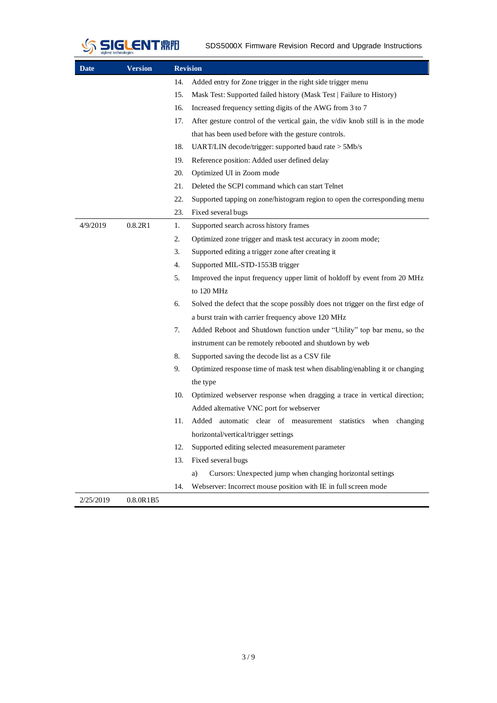

| Date      | <b>Version</b> |     | <b>Revision</b>                                                                 |  |  |  |  |  |
|-----------|----------------|-----|---------------------------------------------------------------------------------|--|--|--|--|--|
|           |                | 14. | Added entry for Zone trigger in the right side trigger menu                     |  |  |  |  |  |
|           |                | 15. | Mask Test: Supported failed history (Mask Test   Failure to History)            |  |  |  |  |  |
|           |                | 16. | Increased frequency setting digits of the AWG from 3 to 7                       |  |  |  |  |  |
|           |                | 17. | After gesture control of the vertical gain, the v/div knob still is in the mode |  |  |  |  |  |
|           |                |     | that has been used before with the gesture controls.                            |  |  |  |  |  |
|           |                | 18. | UART/LIN decode/trigger: supported baud rate > 5Mb/s                            |  |  |  |  |  |
|           |                | 19. | Reference position: Added user defined delay                                    |  |  |  |  |  |
|           |                | 20. | Optimized UI in Zoom mode                                                       |  |  |  |  |  |
|           |                | 21. | Deleted the SCPI command which can start Telnet                                 |  |  |  |  |  |
|           |                | 22. | Supported tapping on zone/histogram region to open the corresponding menu       |  |  |  |  |  |
|           |                | 23. | Fixed several bugs                                                              |  |  |  |  |  |
| 4/9/2019  | 0.8.2R1        | 1.  | Supported search across history frames                                          |  |  |  |  |  |
|           |                | 2.  | Optimized zone trigger and mask test accuracy in zoom mode;                     |  |  |  |  |  |
|           |                | 3.  | Supported editing a trigger zone after creating it                              |  |  |  |  |  |
|           |                | 4.  | Supported MIL-STD-1553B trigger                                                 |  |  |  |  |  |
|           |                | 5.  | Improved the input frequency upper limit of holdoff by event from 20 MHz        |  |  |  |  |  |
|           |                |     | to 120 MHz                                                                      |  |  |  |  |  |
|           |                | 6.  | Solved the defect that the scope possibly does not trigger on the first edge of |  |  |  |  |  |
|           |                |     | a burst train with carrier frequency above 120 MHz                              |  |  |  |  |  |
|           |                | 7.  | Added Reboot and Shutdown function under "Utility" top bar menu, so the         |  |  |  |  |  |
|           |                |     | instrument can be remotely rebooted and shutdown by web                         |  |  |  |  |  |
|           |                | 8.  | Supported saving the decode list as a CSV file                                  |  |  |  |  |  |
|           |                | 9.  | Optimized response time of mask test when disabling/enabling it or changing     |  |  |  |  |  |
|           |                |     | the type                                                                        |  |  |  |  |  |
|           |                | 10. | Optimized webserver response when dragging a trace in vertical direction;       |  |  |  |  |  |
|           |                |     | Added alternative VNC port for webserver                                        |  |  |  |  |  |
|           |                | 11. | Added automatic clear of measurement statistics when changing                   |  |  |  |  |  |
|           |                |     | horizontal/vertical/trigger settings                                            |  |  |  |  |  |
|           |                | 12. | Supported editing selected measurement parameter                                |  |  |  |  |  |
|           |                | 13. | Fixed several bugs                                                              |  |  |  |  |  |
|           |                |     | Cursors: Unexpected jump when changing horizontal settings<br>a)                |  |  |  |  |  |
|           |                | 14. | Webserver: Incorrect mouse position with IE in full screen mode                 |  |  |  |  |  |
| 2/25/2019 | 0.8.0R1B5      |     |                                                                                 |  |  |  |  |  |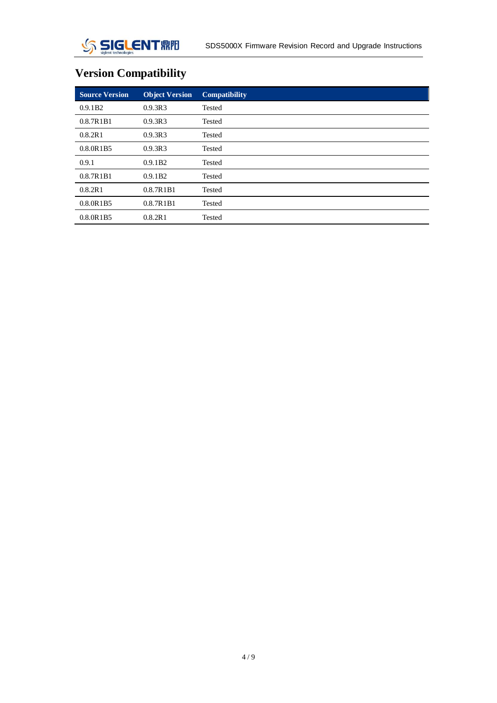# **Version Compatibility**

| <b>Source Version</b> | <b>Object Version</b> | <b>Compatibility</b> |
|-----------------------|-----------------------|----------------------|
| 0.9.1B2               | 0.9.3R3               | <b>Tested</b>        |
| 0.8.7R1B1             | 0.9.3R3               | <b>Tested</b>        |
| 0.8.2R1               | 0.9.3R3               | <b>Tested</b>        |
| 0.8.0R1B5             | 0.9.3R3               | Tested               |
| 0.9.1                 | 0.9.1B2               | <b>Tested</b>        |
| 0.8.7R1B1             | 0.9.1B2               | Tested               |
| 0.8.2R1               | 0.8.7R1B1             | <b>Tested</b>        |
| 0.8.0R1B5             | 0.8.7R1B1             | <b>Tested</b>        |
| 0.8.0R1B5             | 0.8.2R1               | Tested               |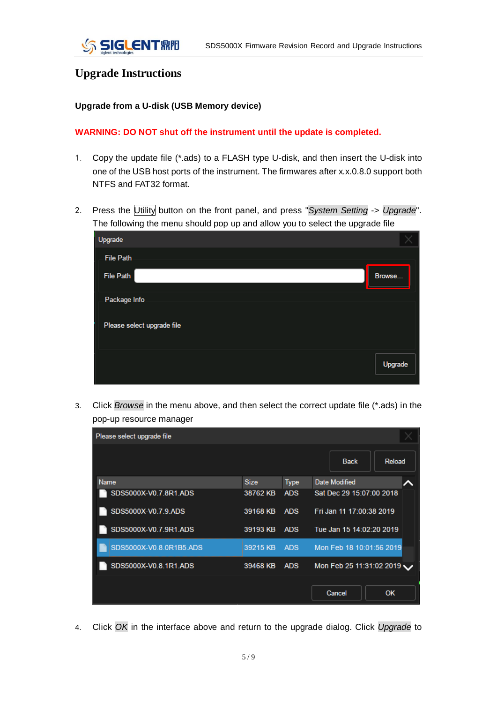### **Upgrade Instructions**

#### **Upgrade from a U-disk (USB Memory device)**

#### **WARNING: DO NOT shut off the instrument until the update is completed.**

- 1. Copy the update file (\*.ads) to a FLASH type U-disk, and then insert the U-disk into one of the USB host ports of the instrument. The firmwares after x.x.0.8.0 support both NTFS and FAT32 format.
- 2. Press the Utility button on the front panel, and press "*System Setting* -> *Upgrade*". The following the menu should pop up and allow you to select the upgrade file

| Upgrade                    |         |
|----------------------------|---------|
| <b>File Path</b>           |         |
| <b>File Path</b>           | Browse  |
| Package Info               |         |
| Please select upgrade file |         |
|                            | Upgrade |

3. Click *Browse* in the menu above, and then select the correct update file (\*.ads) in the pop-up resource manager

| Please select upgrade file |             |             |                          |           |
|----------------------------|-------------|-------------|--------------------------|-----------|
|                            |             |             | <b>Back</b>              | Reload    |
| <b>Name</b>                | <b>Size</b> | <b>Type</b> | <b>Date Modified</b>     |           |
| SDS5000X-V0.7.8R1.ADS      | 38762 KB    | <b>ADS</b>  | Sat Dec 29 15:07:00 2018 |           |
| SDS5000X-V0.7.9.ADS        | 39168 KB    | <b>ADS</b>  | Fri Jan 11 17:00:38 2019 |           |
| SDS5000X-V0.7.9R1.ADS      | 39193 KB    | <b>ADS</b>  | Tue Jan 15 14:02:20 2019 |           |
| SDS5000X-V0.8.0R1B5.ADS    | 39215 KB    | <b>ADS</b>  | Mon Feb 18 10:01:56 2019 |           |
| SDS5000X-V0.8.1R1.ADS      | 39468 KB    | <b>ADS</b>  | Mon Feb 25 11:31:02 2019 |           |
|                            |             |             | Cancel                   | <b>OK</b> |

4. Click *OK* in the interface above and return to the upgrade dialog. Click *Upgrade* to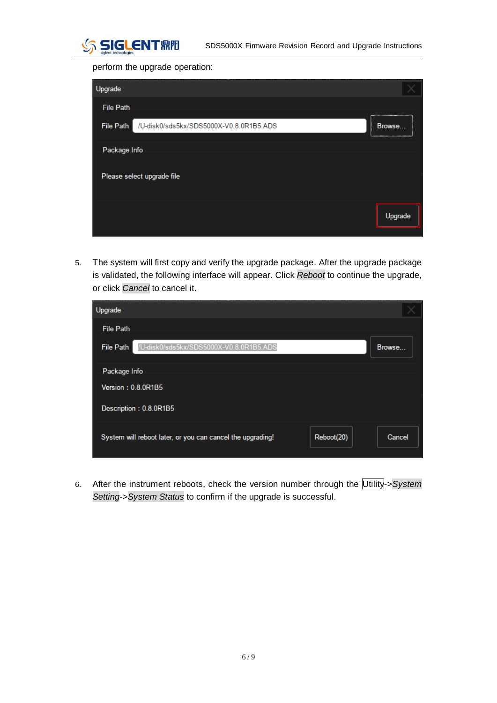

perform the upgrade operation:

| Upgrade                                                     |                                       |
|-------------------------------------------------------------|---------------------------------------|
| <b>File Path</b>                                            | ,,,,,,,,,,,,,,,,,,,,,,,,,,,,,,,,,,,,, |
| /U-disk0/sds5kx/SDS5000X-V0.8.0R1B5.ADS<br><b>File Path</b> | Browse                                |
| Package Info                                                |                                       |
| Please select upgrade file                                  |                                       |
|                                                             | Upgrade                               |

5. The system will first copy and verify the upgrade package. After the upgrade package is validated, the following interface will appear. Click *Reboot* to continue the upgrade, or click *Cancel* to cancel it.

| Upgrade                                                     |            |        |
|-------------------------------------------------------------|------------|--------|
| <b>File Path</b>                                            |            |        |
| /U-disk0/sds5kx/SDS5000X-V0.8.0R1B5.ADS<br><b>File Path</b> |            | Browse |
| Package Info                                                |            |        |
| <b>Version: 0.8.0R1B5</b>                                   |            |        |
| Description: 0.8.0R1B5                                      |            |        |
| System will reboot later, or you can cancel the upgrading!  | Reboot(20) | Cancel |

6. After the instrument reboots, check the version number through the Utility->*System Setting*->*System Status* to confirm if the upgrade is successful.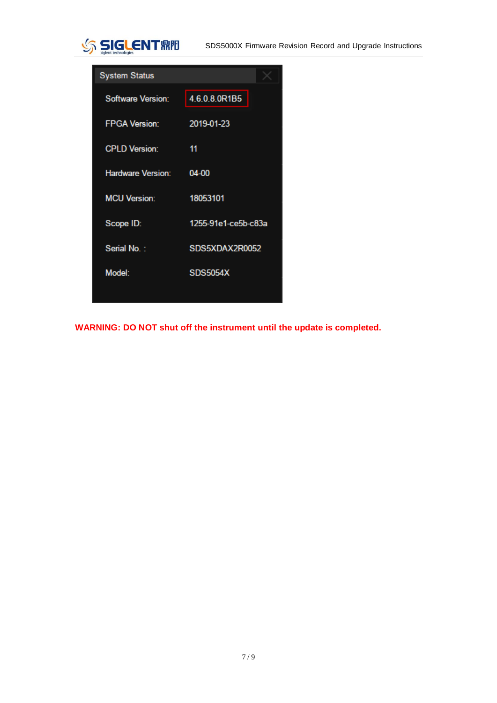

SDS5000X Firmware Revision Record and Upgrade Instructions

| <b>System Status</b>     |                     |
|--------------------------|---------------------|
| <b>Software Version:</b> | 4.6.0.8.0R1B5       |
| <b>FPGA Version:</b>     | 2019-01-23          |
| <b>CPLD Version:</b>     | 11                  |
| <b>Hardware Version:</b> | 04-00               |
| <b>MCU Version:</b>      | 18053101            |
| Scope ID:                | 1255-91e1-ce5b-c83a |
| Serial No.:              | SDS5XDAX2R0052      |
| Model:                   | <b>SDS5054X</b>     |
|                          |                     |

**WARNING: DO NOT shut off the instrument until the update is completed.**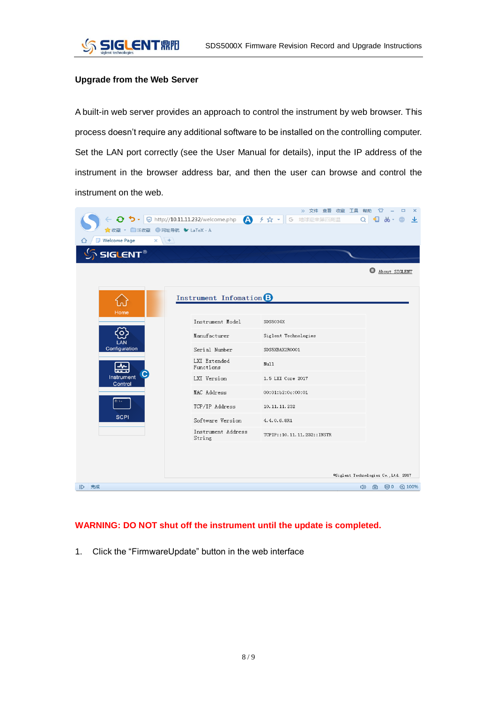#### **Upgrade from the Web Server**

A built-in web server provides an approach to control the instrument by web browser. This process doesn't require any additional software to be installed on the controlling computer. Set the LAN port correctly (see the User Manual for details), input the IP address of the instrument in the browser address bar, and then the user can browse and control the instrument on the web.

| ☆ 收藏 ▼ 日 IE收藏 + 网址导航 ◆ LaTeX - A<br><b>Welcome Page</b><br>$+$<br>×<br>SIGLENT® |                                    | >> 文件 查看 收藏 工具 帮助<br><b>◆ う - © http://10.11.11.232/welcome.php ▲ チ☆ - G 地球迎来第四高温</b> | ☎<br>$\Box$<br>$\times$<br>$\Omega$<br>$\blacksquare$ $\blacksquare$ $\blacksquare$<br>业<br>About SIGLENT |
|---------------------------------------------------------------------------------|------------------------------------|---------------------------------------------------------------------------------------|-----------------------------------------------------------------------------------------------------------|
| Home                                                                            | Instrument Infomation <sup>8</sup> |                                                                                       |                                                                                                           |
|                                                                                 | Instrument Model                   | SDS5034X                                                                              |                                                                                                           |
|                                                                                 | Manufacturer                       | Siglent Technologies                                                                  |                                                                                                           |
| LAN<br>Configuration                                                            | Serial Number                      | SDS5XBAX2R0001                                                                        |                                                                                                           |
| 씦                                                                               | LXI Extended<br>Functions          | Null                                                                                  |                                                                                                           |
| Instrument<br>Control                                                           | LXI Version                        | 1.5 LXI Core 2017                                                                     |                                                                                                           |
|                                                                                 | MAC Address                        | 00:01:b2:0c:00:01                                                                     |                                                                                                           |
|                                                                                 | TCP/IP Address                     | 10.11.11.232                                                                          |                                                                                                           |
| <b>SCPI</b>                                                                     | Software Version                   | 4.4.0.6.8R1                                                                           |                                                                                                           |
|                                                                                 | Instrument Address<br>String       | TCPIP::10.11.11.232::INSTR                                                            |                                                                                                           |
|                                                                                 |                                    |                                                                                       | OSiglent Technologies Co., Ltd. 2017                                                                      |
| ID 完成                                                                           |                                    |                                                                                       | 4) 由 ◎0 ④100%                                                                                             |

#### **WARNING: DO NOT shut off the instrument until the update is completed.**

1. Click the "FirmwareUpdate" button in the web interface